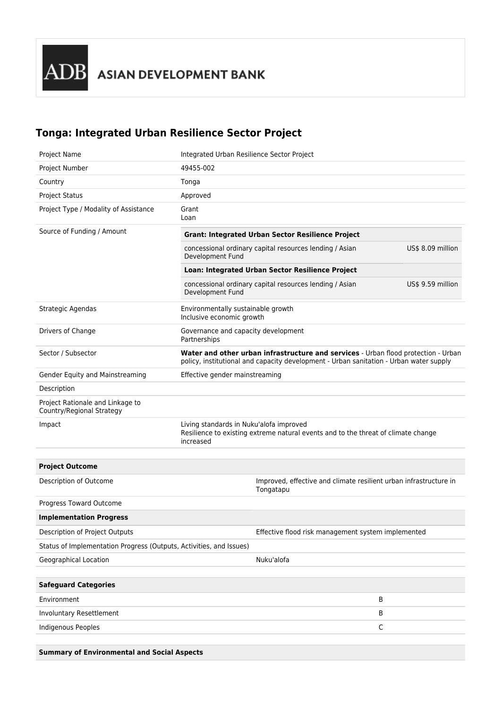## **Tonga: Integrated Urban Resilience Sector Project**

| Project Name                                                        | Integrated Urban Resilience Sector Project                                                                                                                                   |                                                                                |             |
|---------------------------------------------------------------------|------------------------------------------------------------------------------------------------------------------------------------------------------------------------------|--------------------------------------------------------------------------------|-------------|
| Project Number                                                      | 49455-002                                                                                                                                                                    |                                                                                |             |
| Country                                                             | Tonga                                                                                                                                                                        |                                                                                |             |
| <b>Project Status</b>                                               | Approved                                                                                                                                                                     |                                                                                |             |
| Project Type / Modality of Assistance                               | Grant<br>Loan                                                                                                                                                                |                                                                                |             |
| Source of Funding / Amount                                          | <b>Grant: Integrated Urban Sector Resilience Project</b>                                                                                                                     |                                                                                |             |
|                                                                     | concessional ordinary capital resources lending / Asian<br>US\$ 8.09 million<br>Development Fund                                                                             |                                                                                |             |
|                                                                     | Loan: Integrated Urban Sector Resilience Project                                                                                                                             |                                                                                |             |
|                                                                     | concessional ordinary capital resources lending / Asian<br>US\$ 9.59 million<br>Development Fund                                                                             |                                                                                |             |
| Strategic Agendas                                                   | Environmentally sustainable growth<br>Inclusive economic growth                                                                                                              |                                                                                |             |
| Drivers of Change                                                   | Governance and capacity development<br>Partnerships                                                                                                                          |                                                                                |             |
| Sector / Subsector                                                  | Water and other urban infrastructure and services - Urban flood protection - Urban<br>policy, institutional and capacity development - Urban sanitation - Urban water supply |                                                                                |             |
| Gender Equity and Mainstreaming                                     | Effective gender mainstreaming                                                                                                                                               |                                                                                |             |
| Description                                                         |                                                                                                                                                                              |                                                                                |             |
| Project Rationale and Linkage to<br>Country/Regional Strategy       |                                                                                                                                                                              |                                                                                |             |
| Impact                                                              | Living standards in Nuku'alofa improved<br>Resilience to existing extreme natural events and to the threat of climate change<br>increased                                    |                                                                                |             |
|                                                                     |                                                                                                                                                                              |                                                                                |             |
| <b>Project Outcome</b>                                              |                                                                                                                                                                              |                                                                                |             |
| Description of Outcome                                              |                                                                                                                                                                              | Improved, effective and climate resilient urban infrastructure in<br>Tongatapu |             |
| Progress Toward Outcome                                             |                                                                                                                                                                              |                                                                                |             |
| <b>Implementation Progress</b>                                      |                                                                                                                                                                              |                                                                                |             |
| Description of Project Outputs                                      |                                                                                                                                                                              | Effective flood risk management system implemented                             |             |
| Status of Implementation Progress (Outputs, Activities, and Issues) |                                                                                                                                                                              |                                                                                |             |
| Geographical Location                                               |                                                                                                                                                                              | Nuku'alofa                                                                     |             |
|                                                                     |                                                                                                                                                                              |                                                                                |             |
| <b>Safeguard Categories</b>                                         |                                                                                                                                                                              |                                                                                |             |
| Environment                                                         |                                                                                                                                                                              |                                                                                | В           |
| Involuntary Resettlement                                            |                                                                                                                                                                              |                                                                                | В           |
| Indigenous Peoples                                                  |                                                                                                                                                                              |                                                                                | $\mathsf C$ |
|                                                                     |                                                                                                                                                                              |                                                                                |             |

**Summary of Environmental and Social Aspects**